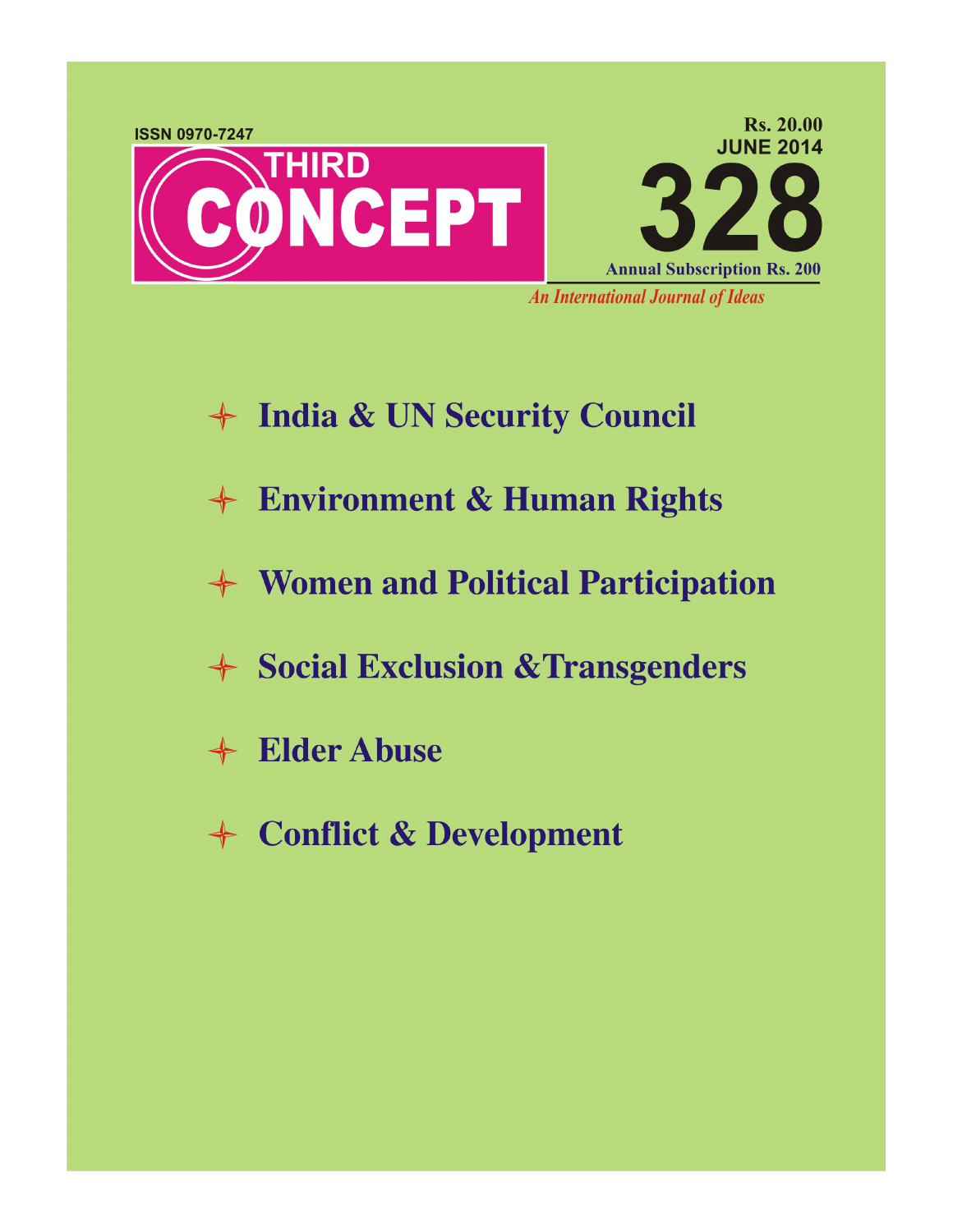

- + India & UN Security Council
- + Environment & Human Rights
- **← Women and Political Participation**
- + Social Exclusion & Transgenders
- + Elder Abuse
- + Conflict & Development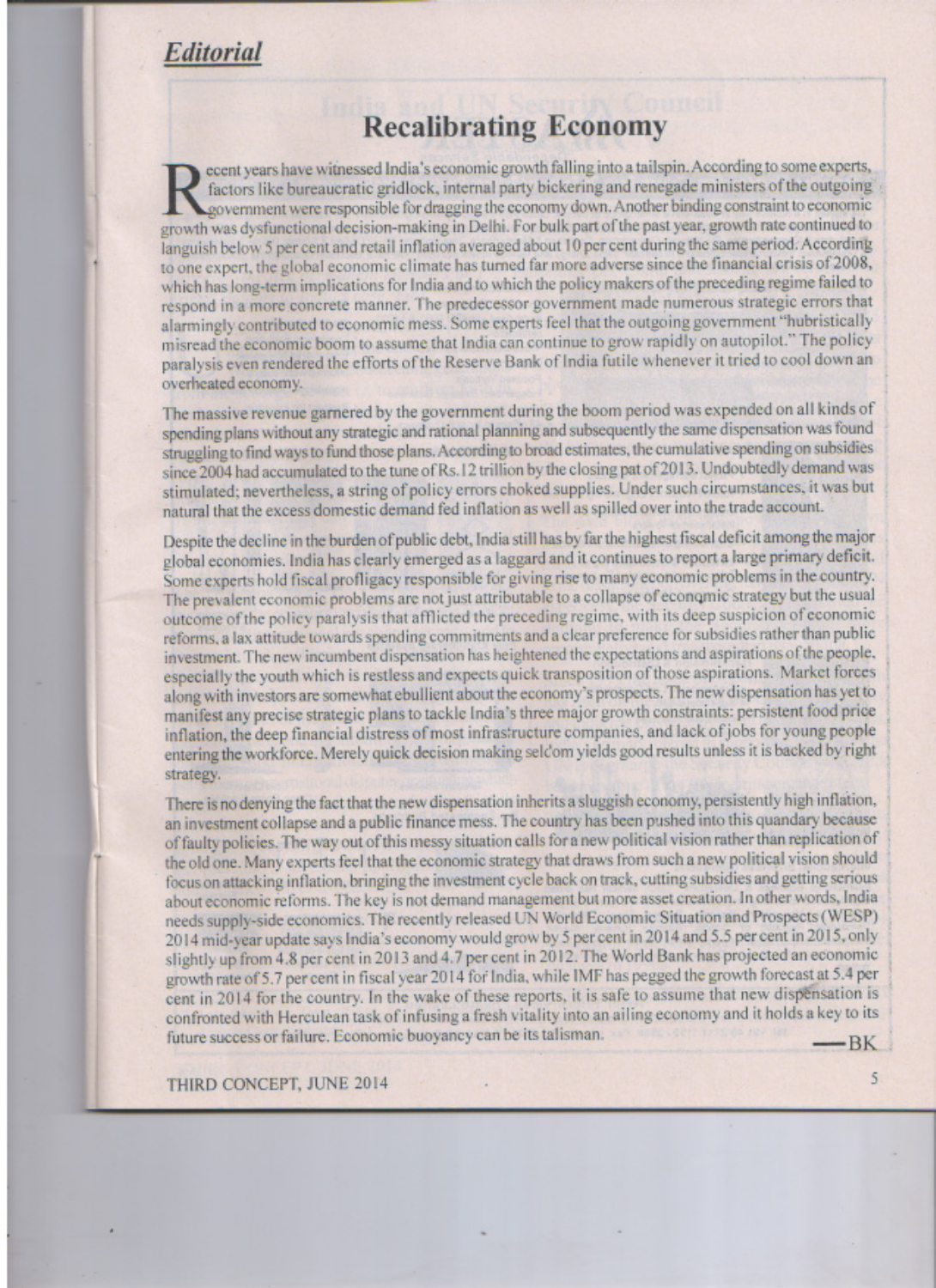## **Recalibrating Economy**

ecent years have witnessed India's economic growth falling into a tailspin. According to some experts, factors like bureaucratic gridlock, internal party bickering and renegade ministers of the outgoing government were responsible for dragging the economy down. Another binding constraint to economic growth was dysfunctional decision-making in Delhi. For bulk part of the past year, growth rate continued to languish below 5 per cent and retail inflation averaged about 10 per cent during the same period. According to one expert, the global economic climate has turned far more adverse since the financial crisis of 2008, which has long-term implications for India and to which the policy makers of the preceding regime failed to respond in a more concrete manner. The predecessor government made numerous strategic errors that alarmingly contributed to economic mess. Some experts feel that the outgoing government "hubristically misread the economic boom to assume that India can continue to grow rapidly on autopilot." The policy paralysis even rendered the efforts of the Reserve Bank of India futile whenever it tried to cool down an overheated economy.

The massive revenue garnered by the government during the boom period was expended on all kinds of spending plans without any strategic and rational planning and subsequently the same dispensation was found struggling to find ways to fund those plans. According to broad estimates, the cumulative spending on subsidies since 2004 had accumulated to the tune of Rs.12 trillion by the closing pat of 2013. Undoubtedly demand was stimulated; nevertheless, a string of policy errors choked supplies. Under such circumstances, it was but natural that the excess domestic demand fed inflation as well as spilled over into the trade account.

Despite the decline in the burden of public debt, India still has by far the highest fiscal deficit among the major global economies. India has clearly emerged as a laggard and it continues to report a large primary deficit. Some experts hold fiscal profligacy responsible for giving rise to many economic problems in the country. The prevalent economic problems are not just attributable to a collapse of economic strategy but the usual outcome of the policy paralysis that afflicted the preceding regime, with its deep suspicion of economic reforms, a lax attitude towards spending commitments and a clear preference for subsidies rather than public investment. The new incumbent dispensation has heightened the expectations and aspirations of the people. especially the youth which is restless and expects quick transposition of those aspirations. Market forces along with investors are somewhat ebullient about the economy's prospects. The new dispensation has yet to manifest any precise strategic plans to tackle India's three major growth constraints: persistent food price inflation, the deep financial distress of most infrastructure companies, and lack of jobs for young people entering the workforce. Merely quick decision making seldom yields good results unless it is backed by right strategy.

There is no denying the fact that the new dispensation inherits a sluggish economy, persistently high inflation, an investment collapse and a public finance mess. The country has been pushed into this quandary because of faulty policies. The way out of this messy situation calls for a new political vision rather than replication of the old one. Many experts feel that the economic strategy that draws from such a new political vision should focus on attacking inflation, bringing the investment cycle back on track, cutting subsidies and getting serious about economic reforms. The key is not demand management but more asset creation. In other words, India needs supply-side economics. The recently released UN World Economic Situation and Prospects (WESP) 2014 mid-year update says India's economy would grow by 5 per cent in 2014 and 5.5 per cent in 2015, only slightly up from 4.8 per cent in 2013 and 4.7 per cent in 2012. The World Bank has projected an economic growth rate of 5.7 per cent in fiscal year 2014 for India, while IMF has pegged the growth forecast at 5.4 per cent in 2014 for the country. In the wake of these reports, it is safe to assume that new dispensation is confronted with Herculean task of infusing a fresh vitality into an ailing economy and it holds a key to its future success or failure. Economic buoyancy can be its talisman.  $-BK$ 

5

THIRD CONCEPT, JUNE 2014